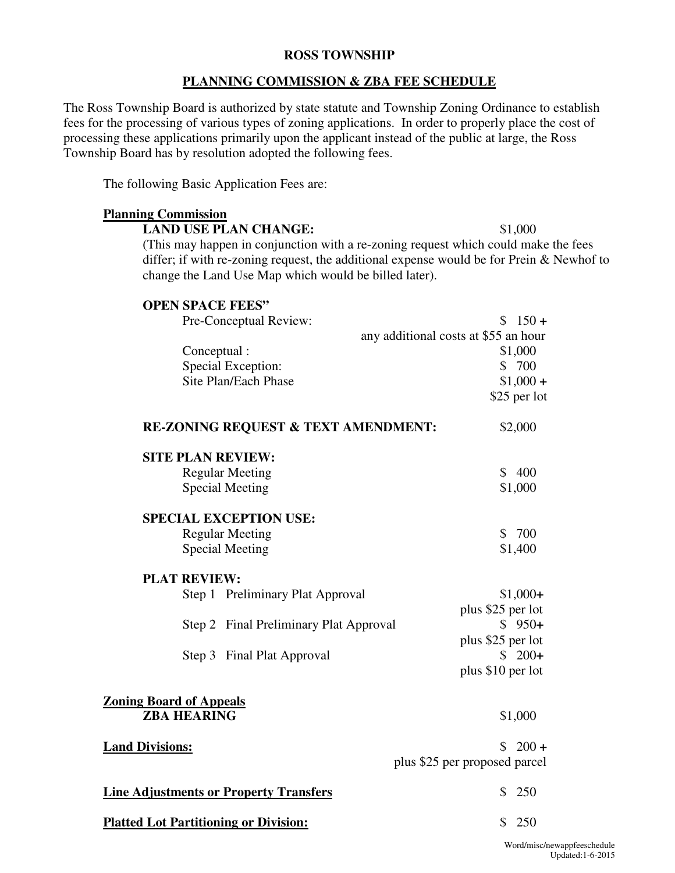### **ROSS TOWNSHIP**

#### **PLANNING COMMISSION & ZBA FEE SCHEDULE**

 The Ross Township Board is authorized by state statute and Township Zoning Ordinance to establish fees for the processing of various types of zoning applications. In order to properly place the cost of processing these applications primarily upon the applicant instead of the public at large, the Ross Township Board has by resolution adopted the following fees.

The following Basic Application Fees are:

# (This may happen in conjunction with a re-zoning request which could make the fees differ; if with re-zoning request, the additional expense would be for Prein & Newhof to change the Land Use Map which would be billed later).  **RE-ZONING REQUEST & TEXT AMENDMENT:** \$2,000  **Zoning Board of Appeals Land Divisions:**  $$ 200 +$ **Line Adjustments or Property Transfers \$** 250  **Platted Lot Partitioning or Division:** \$ 250 **Planning Commission**  LAND USE PLAN CHANGE: \$1,000 **OPEN SPACE FEES"**  Pre-Conceptual Review:  $$ 150 +$ any additional costs at \$55 an hour Conceptual :  $$1,000$ Special Exception:  $$ 700$ Site Plan/Each Phase  $$1,000 +$ \$25 per lot **SITE PLAN REVIEW:**  Regular Meeting  $\qquad$  \$ 400 Special Meeting  $$1,000$ **SPECIAL EXCEPTION USE:**  Regular Meeting  $$ 700$ Special Meeting  $$1,400$ **PLAT REVIEW:**  Step 1 Preliminary Plat Approval \$1,000+ plus \$25 per lot Step 2 Final Preliminary Plat Approval  $\qquad$  \$ 950+ plus \$25 per lot Step 3 Final Plat Approval \$ 200<sup>+</sup> plus \$10 per lot **ZBA HEARING** \$1,000 plus \$25 per proposed parcel

Word/misc/newappfeeschedule Updated:1-6-2015